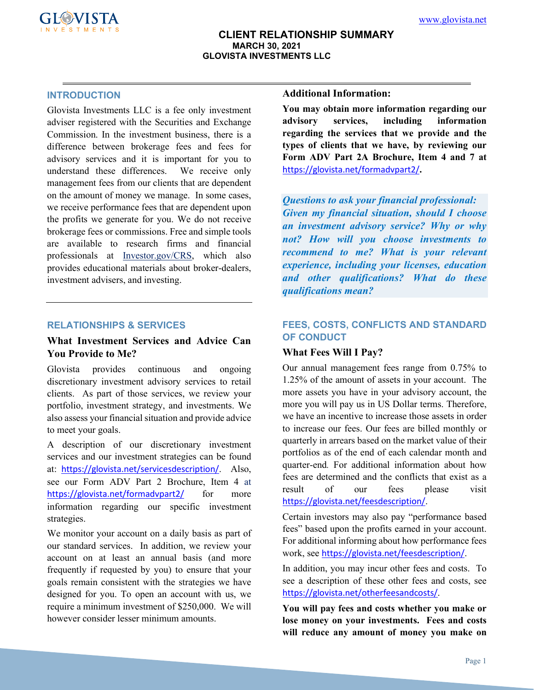

### **INTRODUCTION**

Glovista Investments LLC is a fee only investment adviser registered with the Securities and Exchange Commission. In the investment business, there is a difference between brokerage fees and fees for advisory services and it is important for you to understand these differences. We receive only management fees from our clients that are dependent on the amount of money we manage. In some cases, we receive performance fees that are dependent upon the profits we generate for you. We do not receive brokerage fees or commissions. Free and simple tools are available to research firms and financial professionals at Investor.gov/CRS, which also provides educational materials about broker-dealers, investment advisers, and investing.

#### **RELATIONSHIPS & SERVICES**

## **What Investment Services and Advice Can You Provide to Me?**

Glovista provides continuous and ongoing discretionary investment advisory services to retail clients. As part of those services, we review your portfolio, investment strategy, and investments. We also assess your financial situation and provide advice to meet your goals.

A description of our discretionary investment services and our investment strategies can be found at: <https://glovista.net/servicesdescription/>. Also, see our Form ADV Part 2 Brochure, Item 4 at <https://glovista.net/formadvpart2/> for more information regarding our specific investment strategies.

We monitor your account on a daily basis as part of our standard services. In addition, we review your account on at least an annual basis (and more frequently if requested by you) to ensure that your goals remain consistent with the strategies we have designed for you. To open an account with us, we require a minimum investment of \$250,000. We will however consider lesser minimum amounts.

### **Additional Information:**

**You may obtain more information regarding our advisory services, including information regarding the services that we provide and the types of clients that we have, by reviewing our Form ADV Part 2A Brochure, Item 4 and 7 at**  <https://glovista.net/formadvpart2/>**.** 

*Questions to ask your financial professional: Given my financial situation, should I choose an investment advisory service? Why or why not? How will you choose investments to recommend to me? What is your relevant experience, including your licenses, education and other qualifications? What do these qualifications mean?*

## **FEES, COSTS, CONFLICTS AND STANDARD OF CONDUCT**

### **What Fees Will I Pay?**

Our annual management fees range from 0.75% to 1.25% of the amount of assets in your account. The more assets you have in your advisory account, the more you will pay us in US Dollar terms. Therefore, we have an incentive to increase those assets in order to increase our fees. Our fees are billed monthly or quarterly in arrears based on the market value of their portfolios as of the end of each calendar month and quarter-end*.* For additional information about how fees are determined and the conflicts that exist as a result of our fees please visit <https://glovista.net/feesdescription/>.

Certain investors may also pay "performance based fees" based upon the profits earned in your account. For additional informing about how performance fees work, see <https://glovista.net/feesdescription/>.

In addition, you may incur other fees and costs. To see a description of these other fees and costs, see <https://glovista.net/otherfeesandcosts/>.

**You will pay fees and costs whether you make or lose money on your investments. Fees and costs will reduce any amount of money you make on**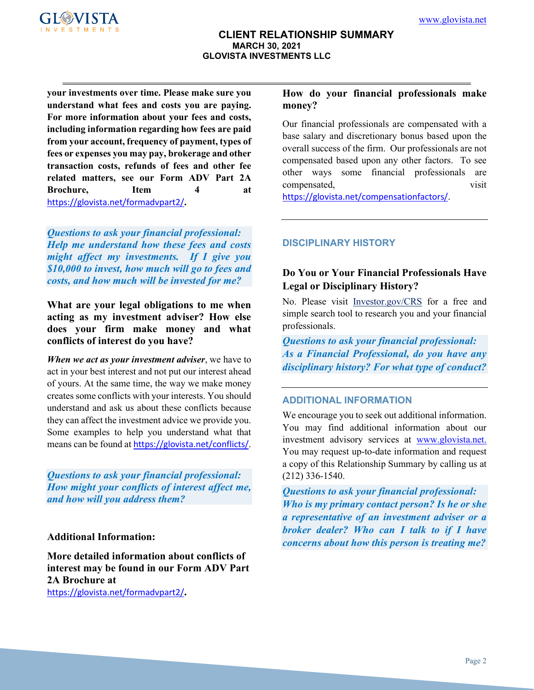

**your investments over time. Please make sure you understand what fees and costs you are paying. For more information about your fees and costs, including information regarding how fees are paid from your account, frequency of payment, types of fees or expenses you may pay, brokerage and other transaction costs, refunds of fees and other fee related matters, see our Form ADV Part 2A Brochure, Item 4 at**  <https://glovista.net/formadvpart2/>**.**

*Questions to ask your financial professional: Help me understand how these fees and costs might affect my investments. If I give you \$10,000 to invest, how much will go to fees and costs, and how much will be invested for me?*

# **What are your legal obligations to me when acting as my investment adviser? How else does your firm make money and what conflicts of interest do you have?**

*When we act as your investment adviser*, we have to act in your best interest and not put our interest ahead of yours. At the same time, the way we make money creates some conflicts with your interests. You should understand and ask us about these conflicts because they can affect the investment advice we provide you. Some examples to help you understand what that means can be found at <https://glovista.net/conflicts/>.

*Questions to ask your financial professional: How might your conflicts of interest affect me, and how will you address them?*

**Additional Information:**

**More detailed information about conflicts of interest may be found in our Form ADV Part 2A Brochure at**  <https://glovista.net/formadvpart2/>**.**

## **How do your financial professionals make money?**

Our financial professionals are compensated with a base salary and discretionary bonus based upon the overall success of the firm. Our professionals are not compensated based upon any other factors. To see other ways some financial professionals are compensated, visit

<https://glovista.net/compensationfactors/>.

# **DISCIPLINARY HISTORY**

# **Do You or Your Financial Professionals Have Legal or Disciplinary History?**

No. Please visit Investor.gov/CRS for a free and simple search tool to research you and your financial professionals.

*Questions to ask your financial professional: As a Financial Professional, do you have any disciplinary history? For what type of conduct?*

# **ADDITIONAL INFORMATION**

We encourage you to seek out additional information. You may find additional information about our investment advisory services at [www.glovista.net.](http://www.glovista.net/) You may request up-to-date information and request a copy of this Relationship Summary by calling us at (212) 336-1540.

*Questions to ask your financial professional: Who is my primary contact person? Is he or she a representative of an investment adviser or a broker dealer? Who can I talk to if I have concerns about how this person is treating me?*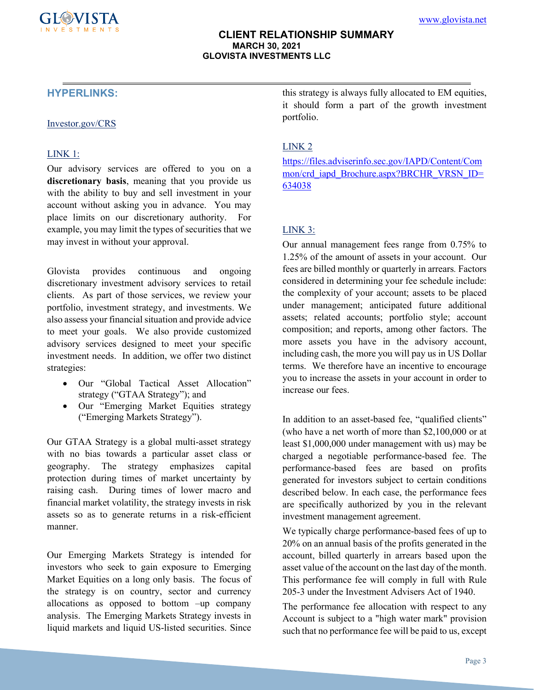# **HYPERLINKS:**

#### Investor.gov/CRS

### LINK 1:

Our advisory services are offered to you on a **discretionary basis**, meaning that you provide us with the ability to buy and sell investment in your account without asking you in advance. You may place limits on our discretionary authority. For example, you may limit the types of securities that we may invest in without your approval.

Glovista provides continuous and ongoing discretionary investment advisory services to retail clients. As part of those services, we review your portfolio, investment strategy, and investments. We also assess your financial situation and provide advice to meet your goals. We also provide customized advisory services designed to meet your specific investment needs. In addition, we offer two distinct strategies:

- Our "Global Tactical Asset Allocation" strategy ("GTAA Strategy"); and
- Our "Emerging Market Equities strategy ("Emerging Markets Strategy").

Our GTAA Strategy is a global multi-asset strategy with no bias towards a particular asset class or geography. The strategy emphasizes capital protection during times of market uncertainty by raising cash. During times of lower macro and financial market volatility, the strategy invests in risk assets so as to generate returns in a risk-efficient manner.

Our Emerging Markets Strategy is intended for investors who seek to gain exposure to Emerging Market Equities on a long only basis. The focus of the strategy is on country, sector and currency allocations as opposed to bottom –up company analysis. The Emerging Markets Strategy invests in liquid markets and liquid US-listed securities. Since

this strategy is always fully allocated to EM equities, it should form a part of the growth investment portfolio.

## LINK 2

[https://files.adviserinfo.sec.gov/IAPD/Content/Com](https://files.adviserinfo.sec.gov/IAPD/Content/Common/crd_iapd_Brochure.aspx?BRCHR_VRSN_ID=634038) [mon/crd\\_iapd\\_Brochure.aspx?BRCHR\\_VRSN\\_ID=](https://files.adviserinfo.sec.gov/IAPD/Content/Common/crd_iapd_Brochure.aspx?BRCHR_VRSN_ID=634038) [634038](https://files.adviserinfo.sec.gov/IAPD/Content/Common/crd_iapd_Brochure.aspx?BRCHR_VRSN_ID=634038)

## LINK 3:

Our annual management fees range from 0.75% to 1.25% of the amount of assets in your account. Our fees are billed monthly or quarterly in arrears*.* Factors considered in determining your fee schedule include: the complexity of your account; assets to be placed under management; anticipated future additional assets; related accounts; portfolio style; account composition; and reports, among other factors. The more assets you have in the advisory account, including cash, the more you will pay us in US Dollar terms. We therefore have an incentive to encourage you to increase the assets in your account in order to increase our fees.

In addition to an asset-based fee, "qualified clients" (who have a net worth of more than \$2,100,000 or at least \$1,000,000 under management with us) may be charged a negotiable performance-based fee. The performance-based fees are based on profits generated for investors subject to certain conditions described below. In each case, the performance fees are specifically authorized by you in the relevant investment management agreement.

We typically charge performance-based fees of up to 20% on an annual basis of the profits generated in the account, billed quarterly in arrears based upon the asset value of the account on the last day of the month. This performance fee will comply in full with Rule 205-3 under the Investment Advisers Act of 1940.

The performance fee allocation with respect to any Account is subject to a "high water mark" provision such that no performance fee will be paid to us, except